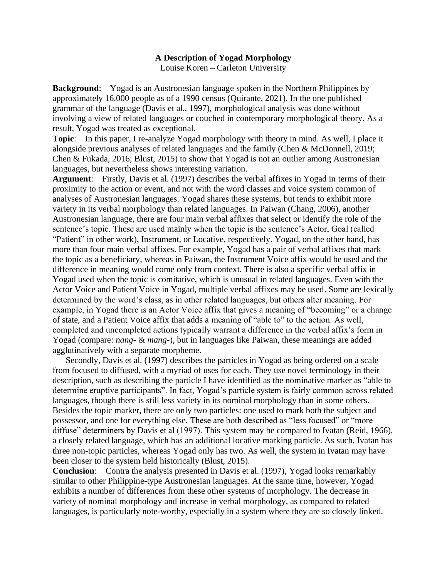## **A Description of Yogad Morphology**

Louise Koren – Carleton University

**Background**: Yogad is an Austronesian language spoken in the Northern Philippines by approximately 16,000 people as of a 1990 census (Quirante, 2021). In the one published grammar of the language (Davis et al., 1997), morphological analysis was done without involving a view of related languages or couched in contemporary morphological theory. As a result, Yogad was treated as exceptional.

**Topic**: In this paper, I re-analyze Yogad morphology with theory in mind. As well, I place it alongside previous analyses of related languages and the family (Chen & McDonnell, 2019; Chen & Fukada, 2016; Blust, 2015) to show that Yogad is not an outlier among Austronesian languages, but nevertheless shows interesting variation.

**Argument**: Firstly, Davis et al. (1997) describes the verbal affixes in Yogad in terms of their proximity to the action or event, and not with the word classes and voice system common of analyses of Austronesian languages. Yogad shares these systems, but tends to exhibit more variety in its verbal morphology than related languages. In Paiwan (Chang, 2006), another Austronesian language, there are four main verbal affixes that select or identify the role of the sentence's topic. These are used mainly when the topic is the sentence's Actor, Goal (called "Patient" in other work), Instrument, or Locative, respectively. Yogad, on the other hand, has more than four main verbal affixes. For example, Yogad has a pair of verbal affixes that mark the topic as a beneficiary, whereas in Paiwan, the Instrument Voice affix would be used and the difference in meaning would come only from context. There is also a specific verbal affix in Yogad used when the topic is comitative, which is unusual in related languages. Even with the Actor Voice and Patient Voice in Yogad, multiple verbal affixes may be used. Some are lexically determined by the word's class, as in other related languages, but others alter meaning. For example, in Yogad there is an Actor Voice affix that gives a meaning of "becoming" or a change of state, and a Patient Voice affix that adds a meaning of "able to" to the action. As well, completed and uncompleted actions typically warrant a difference in the verbal affix's form in Yogad (compare: *nang*- & *mang*-), but in languages like Paiwan, these meanings are added agglutinatively with a separate morpheme.

 Secondly, Davis et al. (1997) describes the particles in Yogad as being ordered on a scale from focused to diffused, with a myriad of uses for each. They use novel terminology in their description, such as describing the particle I have identified as the nominative marker as "able to determine eruptive participants". In fact, Yogad's particle system is fairly common across related languages, though there is still less variety in its nominal morphology than in some others. Besides the topic marker, there are only two particles: one used to mark both the subject and possessor, and one for everything else. These are both described as "less focused" or "more diffuse" determiners by Davis et al (1997). This system may be compared to Ivatan (Reid, 1966), a closely related language, which has an additional locative marking particle. As such, Ivatan has three non-topic particles, whereas Yogad only has two. As well, the system in Ivatan may have been closer to the system held historically (Blust, 2015).

**Conclusion**: Contra the analysis presented in Davis et al. (1997), Yogad looks remarkably similar to other Philippine-type Austronesian languages. At the same time, however, Yogad exhibits a number of differences from these other systems of morphology. The decrease in variety of nominal morphology and increase in verbal morphology, as compared to related languages, is particularly note-worthy, especially in a system where they are so closely linked.